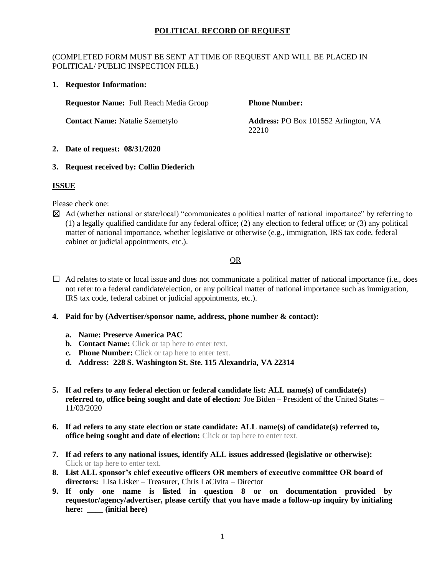## **POLITICAL RECORD OF REQUEST**

#### (COMPLETED FORM MUST BE SENT AT TIME OF REQUEST AND WILL BE PLACED IN POLITICAL/ PUBLIC INSPECTION FILE.)

**1. Requestor Information:**

**Requestor Name:** Full Reach Media Group

**Contact Name:** Natalie Szemetylo

**Phone Number:** 

**Address:** PO Box 101552 Arlington, VA 22210

#### **2. Date of request: 08/31/2020**

### **3. Request received by: Collin Diederich**

## **ISSUE**

Please check one:

☒ Ad (whether national or state/local) "communicates a political matter of national importance" by referring to (1) a legally qualified candidate for any <u>federal</u> office; (2) any election to <u>federal</u> office; <u>or</u> (3) any political matter of national importance, whether legislative or otherwise (e.g., immigration, IRS tax code, federal cabinet or judicial appointments, etc.).

# OR

- $\Box$  Ad relates to state or local issue and does <u>not</u> communicate a political matter of national importance (i.e., does not refer to a federal candidate/election, or any political matter of national importance such as immigration, IRS tax code, federal cabinet or judicial appointments, etc.).
- **4. Paid for by (Advertiser/sponsor name, address, phone number & contact):**
	- **a. Name: Preserve America PAC**
	- **b. Contact Name:** Click or tap here to enter text.
	- **c. Phone Number:** Click or tap here to enter text.
	- **d. Address: 228 S. Washington St. Ste. 115 Alexandria, VA 22314**
- **5. If ad refers to any federal election or federal candidate list: ALL name(s) of candidate(s) referred to, office being sought and date of election:** Joe Biden – President of the United States – 11/03/2020
- **6. If ad refers to any state election or state candidate: ALL name(s) of candidate(s) referred to, office being sought and date of election:** Click or tap here to enter text.
- **7. If ad refers to any national issues, identify ALL issues addressed (legislative or otherwise):**  Click or tap here to enter text.
- **8. List ALL sponsor's chief executive officers OR members of executive committee OR board of directors:** Lisa Lisker – Treasurer, Chris LaCivita – Director
- **9. If only one name is listed in question 8 or on documentation provided by requestor/agency/advertiser, please certify that you have made a follow-up inquiry by initialing here: \_\_\_\_ (initial here)**